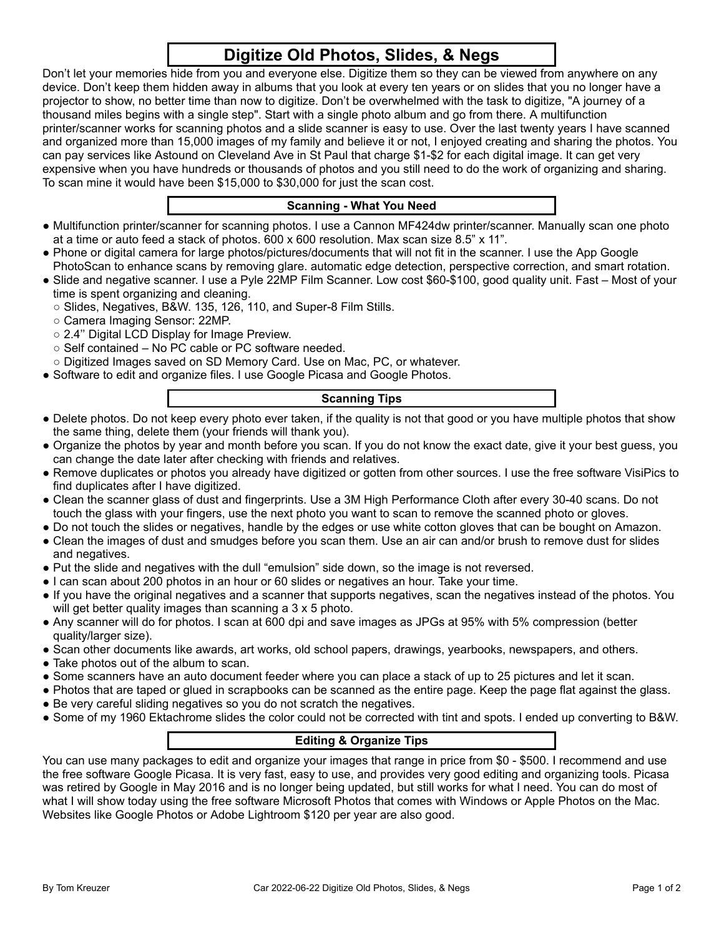# **Digitize Old Photos, Slides, & Negs**

Don't let your memories hide from you and everyone else. Digitize them so they can be viewed from anywhere on any device. Don't keep them hidden away in albums that you look at every ten years or on slides that you no longer have a projector to show, no better time than now to digitize. Don't be overwhelmed with the task to digitize, "A journey of a thousand miles begins with a single step". Start with a single photo album and go from there. A multifunction printer/scanner works for scanning photos and a slide scanner is easy to use. Over the last twenty years I have scanned and organized more than 15,000 images of my family and believe it or not, I enjoyed creating and sharing the photos. You can pay services like Astound on Cleveland Ave in St Paul that charge \$1-\$2 for each digital image. It can get very expensive when you have hundreds or thousands of photos and you still need to do the work of organizing and sharing. To scan mine it would have been \$15,000 to \$30,000 for just the scan cost.

## **Scanning - What You Need**

- Multifunction printer/scanner for scanning photos. I use a Cannon MF424dw printer/scanner. Manually scan one photo at a time or auto feed a stack of photos. 600 x 600 resolution. Max scan size 8.5" x 11".
- Phone or digital camera for large photos/pictures/documents that will not fit in the scanner. I use the App Google PhotoScan to enhance scans by removing glare. automatic edge detection, perspective correction, and smart rotation.
- Slide and negative scanner. I use a Pyle 22MP Film Scanner. Low cost \$60-\$100, good quality unit. Fast Most of your time is spent organizing and cleaning.
	- Slides, Negatives, B&W. 135, 126, 110, and Super-8 Film Stills.
	- Camera Imaging Sensor: 22MP.
	- 2.4" Digital LCD Display for Image Preview.
	- Self contained No PC cable or PC software needed.
- Digitized Images saved on SD Memory Card. Use on Mac, PC, or whatever.
- Software to edit and organize files. I use Google Picasa and Google Photos.

## **Scanning Tips**

- Delete photos. Do not keep every photo ever taken, if the quality is not that good or you have multiple photos that show the same thing, delete them (your friends will thank you).
- Organize the photos by year and month before you scan. If you do not know the exact date, give it your best guess, you can change the date later after checking with friends and relatives.
- Remove duplicates or photos you already have digitized or gotten from other sources. I use the free software VisiPics to find duplicates after I have digitized.
- Clean the scanner glass of dust and fingerprints. Use a 3M High Performance Cloth after every 30-40 scans. Do not touch the glass with your fingers, use the next photo you want to scan to remove the scanned photo or gloves.
- Do not touch the slides or negatives, handle by the edges or use white cotton gloves that can be bought on Amazon.
- Clean the images of dust and smudges before you scan them. Use an air can and/or brush to remove dust for slides and negatives.
- Put the slide and negatives with the dull "emulsion" side down, so the image is not reversed.
- I can scan about 200 photos in an hour or 60 slides or negatives an hour. Take your time.
- If you have the original negatives and a scanner that supports negatives, scan the negatives instead of the photos. You will get better quality images than scanning a 3 x 5 photo.
- Any scanner will do for photos. I scan at 600 dpi and save images as JPGs at 95% with 5% compression (better quality/larger size).
- Scan other documents like awards, art works, old school papers, drawings, yearbooks, newspapers, and others.
- Take photos out of the album to scan.
- Some scanners have an auto document feeder where you can place a stack of up to 25 pictures and let it scan.
- Photos that are taped or glued in scrapbooks can be scanned as the entire page. Keep the page flat against the glass.
- Be very careful sliding negatives so you do not scratch the negatives.
- Some of my 1960 Ektachrome slides the color could not be corrected with tint and spots. I ended up converting to B&W.

### **Editing & Organize Tips**

You can use many packages to edit and organize your images that range in price from \$0 - \$500. I recommend and use the free software Google Picasa. It is very fast, easy to use, and provides very good editing and organizing tools. Picasa was retired by Google in May 2016 and is no longer being updated, but still works for what I need. You can do most of what I will show today using the free software Microsoft Photos that comes with Windows or Apple Photos on the Mac. Websites like Google Photos or Adobe Lightroom \$120 per year are also good.